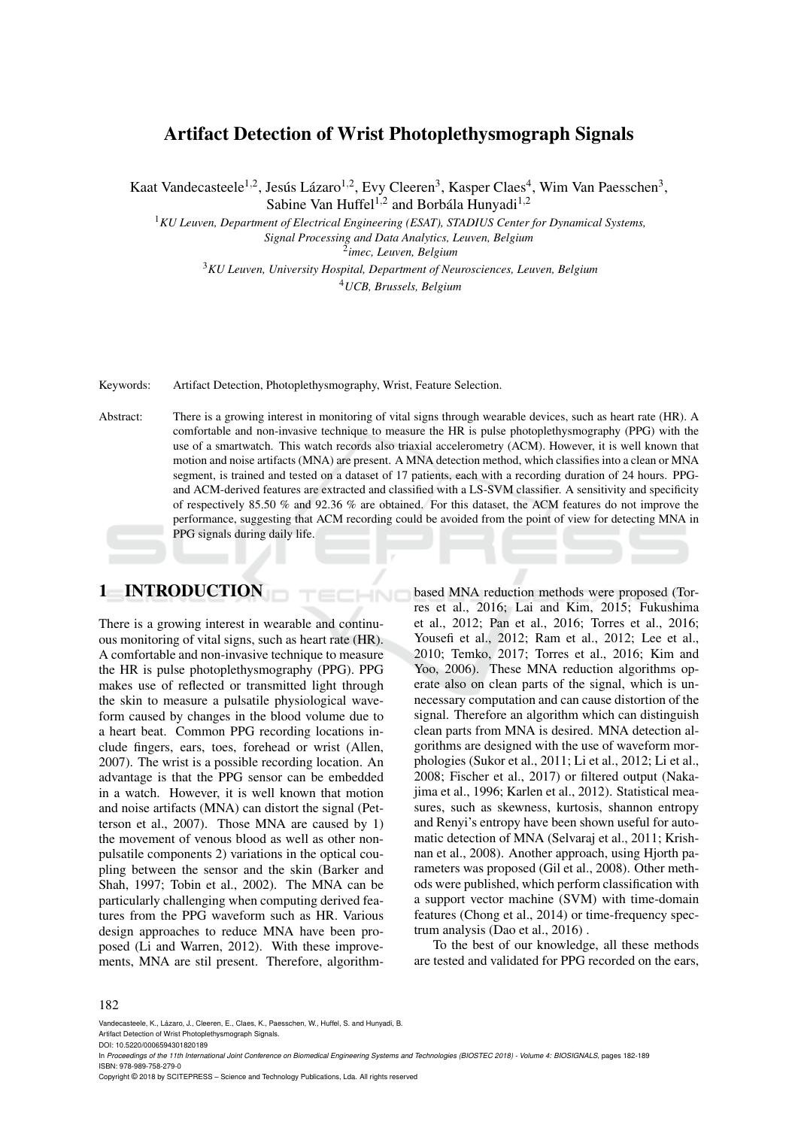## Artifact Detection of Wrist Photoplethysmograph Signals

Kaat Vandecasteele<sup>1,2</sup>, Jesús Lázaro<sup>1,2</sup>, Evy Cleeren<sup>3</sup>, Kasper Claes<sup>4</sup>, Wim Van Paesschen<sup>3</sup>, Sabine Van Huffel<sup>1,2</sup> and Borbála Hunyadi<sup>1,2</sup>

<sup>1</sup>*KU Leuven, Department of Electrical Engineering (ESAT), STADIUS Center for Dynamical Systems, Signal Processing and Data Analytics, Leuven, Belgium*

2 *imec, Leuven, Belgium*

<sup>3</sup>*KU Leuven, University Hospital, Department of Neurosciences, Leuven, Belgium*

<sup>4</sup>*UCB, Brussels, Belgium*

Keywords: Artifact Detection, Photoplethysmography, Wrist, Feature Selection.

Abstract: There is a growing interest in monitoring of vital signs through wearable devices, such as heart rate (HR). A comfortable and non-invasive technique to measure the HR is pulse photoplethysmography (PPG) with the use of a smartwatch. This watch records also triaxial accelerometry (ACM). However, it is well known that motion and noise artifacts (MNA) are present. A MNA detection method, which classifies into a clean or MNA segment, is trained and tested on a dataset of 17 patients, each with a recording duration of 24 hours. PPGand ACM-derived features are extracted and classified with a LS-SVM classifier. A sensitivity and specificity of respectively 85.50 % and 92.36 % are obtained. For this dataset, the ACM features do not improve the performance, suggesting that ACM recording could be avoided from the point of view for detecting MNA in PPG signals during daily life.

 $\neg$ NC

# 1 INTRODUCTION

There is a growing interest in wearable and continuous monitoring of vital signs, such as heart rate (HR). A comfortable and non-invasive technique to measure the HR is pulse photoplethysmography (PPG). PPG makes use of reflected or transmitted light through the skin to measure a pulsatile physiological waveform caused by changes in the blood volume due to a heart beat. Common PPG recording locations include fingers, ears, toes, forehead or wrist (Allen, 2007). The wrist is a possible recording location. An advantage is that the PPG sensor can be embedded in a watch. However, it is well known that motion and noise artifacts (MNA) can distort the signal (Petterson et al., 2007). Those MNA are caused by 1) the movement of venous blood as well as other nonpulsatile components 2) variations in the optical coupling between the sensor and the skin (Barker and Shah, 1997; Tobin et al., 2002). The MNA can be particularly challenging when computing derived features from the PPG waveform such as HR. Various design approaches to reduce MNA have been proposed (Li and Warren, 2012). With these improvements, MNA are stil present. Therefore, algorithmbased MNA reduction methods were proposed (Torres et al., 2016; Lai and Kim, 2015; Fukushima et al., 2012; Pan et al., 2016; Torres et al., 2016; Yousefi et al., 2012; Ram et al., 2012; Lee et al., 2010; Temko, 2017; Torres et al., 2016; Kim and Yoo, 2006). These MNA reduction algorithms operate also on clean parts of the signal, which is unnecessary computation and can cause distortion of the signal. Therefore an algorithm which can distinguish clean parts from MNA is desired. MNA detection algorithms are designed with the use of waveform morphologies (Sukor et al., 2011; Li et al., 2012; Li et al., 2008; Fischer et al., 2017) or filtered output (Nakajima et al., 1996; Karlen et al., 2012). Statistical measures, such as skewness, kurtosis, shannon entropy and Renyi's entropy have been shown useful for automatic detection of MNA (Selvaraj et al., 2011; Krishnan et al., 2008). Another approach, using Hjorth parameters was proposed (Gil et al., 2008). Other methods were published, which perform classification with a support vector machine (SVM) with time-domain features (Chong et al., 2014) or time-frequency spectrum analysis (Dao et al., 2016) .

To the best of our knowledge, all these methods are tested and validated for PPG recorded on the ears,

#### 182

Vandecasteele, K., Lázaro, J., Cleeren, E., Claes, K., Paesschen, W., Huffel, S. and Hunyadi, B. Artifact Detection of Wrist Photoplethysmograph Signals.

DOI: 10.5220/0006594301820189

Copyright © 2018 by SCITEPRESS – Science and Technology Publications, Lda. All rights reserved

In *Proceedings of the 11th International Joint Conference on Biomedical Engineering Systems and Technologies (BIOSTEC 2018) - Volume 4: BIOSIGNALS*, pages 182-189 ISBN: 978-989-758-279-0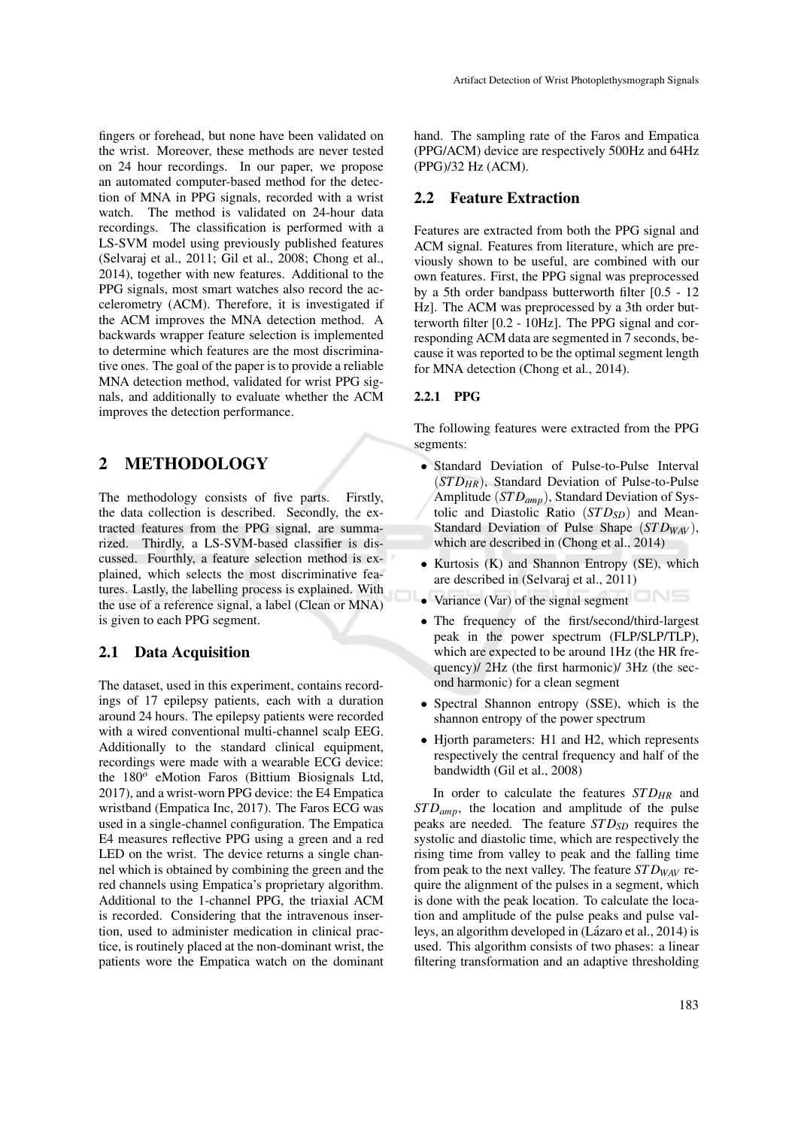fingers or forehead, but none have been validated on the wrist. Moreover, these methods are never tested on 24 hour recordings. In our paper, we propose an automated computer-based method for the detection of MNA in PPG signals, recorded with a wrist watch. The method is validated on 24-hour data recordings. The classification is performed with a LS-SVM model using previously published features (Selvaraj et al., 2011; Gil et al., 2008; Chong et al., 2014), together with new features. Additional to the PPG signals, most smart watches also record the accelerometry (ACM). Therefore, it is investigated if the ACM improves the MNA detection method. A backwards wrapper feature selection is implemented to determine which features are the most discriminative ones. The goal of the paper is to provide a reliable MNA detection method, validated for wrist PPG signals, and additionally to evaluate whether the ACM improves the detection performance.

## 2 METHODOLOGY

The methodology consists of five parts. Firstly, the data collection is described. Secondly, the extracted features from the PPG signal, are summarized. Thirdly, a LS-SVM-based classifier is discussed. Fourthly, a feature selection method is explained, which selects the most discriminative features. Lastly, the labelling process is explained. With the use of a reference signal, a label (Clean or MNA) is given to each PPG segment.

#### 2.1 Data Acquisition

The dataset, used in this experiment, contains recordings of 17 epilepsy patients, each with a duration around 24 hours. The epilepsy patients were recorded with a wired conventional multi-channel scalp EEG. Additionally to the standard clinical equipment, recordings were made with a wearable ECG device: the 180<sup>o</sup> eMotion Faros (Bittium Biosignals Ltd, 2017), and a wrist-worn PPG device: the E4 Empatica wristband (Empatica Inc, 2017). The Faros ECG was used in a single-channel configuration. The Empatica E4 measures reflective PPG using a green and a red LED on the wrist. The device returns a single channel which is obtained by combining the green and the red channels using Empatica's proprietary algorithm. Additional to the 1-channel PPG, the triaxial ACM is recorded. Considering that the intravenous insertion, used to administer medication in clinical practice, is routinely placed at the non-dominant wrist, the patients wore the Empatica watch on the dominant hand. The sampling rate of the Faros and Empatica (PPG/ACM) device are respectively 500Hz and 64Hz (PPG)/32 Hz (ACM).

#### 2.2 Feature Extraction

Features are extracted from both the PPG signal and ACM signal. Features from literature, which are previously shown to be useful, are combined with our own features. First, the PPG signal was preprocessed by a 5th order bandpass butterworth filter [0.5 - 12 Hz]. The ACM was preprocessed by a 3th order butterworth filter [0.2 - 10Hz]. The PPG signal and corresponding ACM data are segmented in 7 seconds, because it was reported to be the optimal segment length for MNA detection (Chong et al., 2014).

#### 2.2.1 PPG

The following features were extracted from the PPG segments:

- Standard Deviation of Pulse-to-Pulse Interval (*ST DHR*), Standard Deviation of Pulse-to-Pulse Amplitude (*ST Damp*), Standard Deviation of Systolic and Diastolic Ratio (*STD<sub>SD</sub>*) and Mean-Standard Deviation of Pulse Shape (*STD<sub>WAV</sub>*), which are described in (Chong et al., 2014)
- Kurtosis (K) and Shannon Entropy (SE), which are described in (Selvaraj et al., 2011)
- Variance (Var) of the signal segment
- The frequency of the first/second/third-largest peak in the power spectrum (FLP/SLP/TLP), which are expected to be around 1Hz (the HR frequency)/ 2Hz (the first harmonic)/ 3Hz (the second harmonic) for a clean segment
- Spectral Shannon entropy (SSE), which is the shannon entropy of the power spectrum
- Hjorth parameters: H1 and H2, which represents respectively the central frequency and half of the bandwidth (Gil et al., 2008)

In order to calculate the features *STD<sub>HR</sub>* and *ST Damp*, the location and amplitude of the pulse peaks are needed. The feature *ST DSD* requires the systolic and diastolic time, which are respectively the rising time from valley to peak and the falling time from peak to the next valley. The feature *ST DWAV* require the alignment of the pulses in a segment, which is done with the peak location. To calculate the location and amplitude of the pulse peaks and pulse valleys, an algorithm developed in (Lázaro et al., 2014) is used. This algorithm consists of two phases: a linear filtering transformation and an adaptive thresholding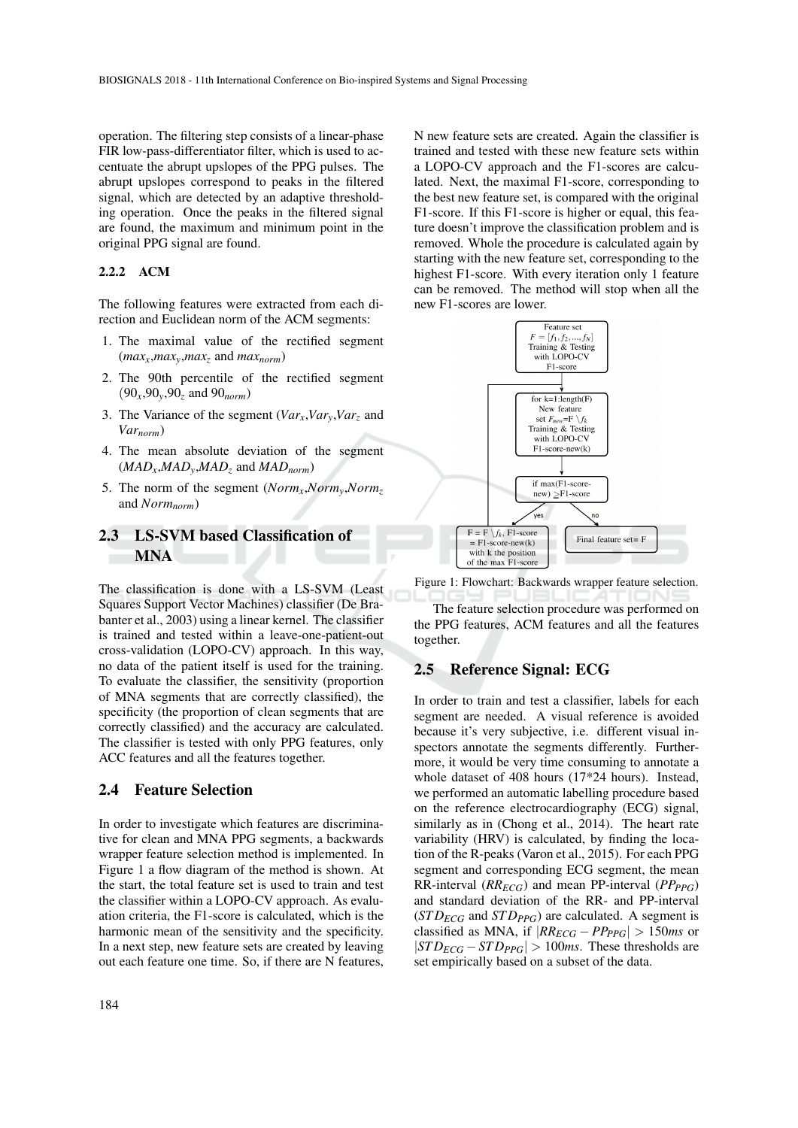operation. The filtering step consists of a linear-phase FIR low-pass-differentiator filter, which is used to accentuate the abrupt upslopes of the PPG pulses. The abrupt upslopes correspond to peaks in the filtered signal, which are detected by an adaptive thresholding operation. Once the peaks in the filtered signal are found, the maximum and minimum point in the original PPG signal are found.

#### 2.2.2 ACM

The following features were extracted from each direction and Euclidean norm of the ACM segments:

- 1. The maximal value of the rectified segment  $(max_x, max_y, max_z$  and  $max_{norm}$ )
- 2. The 90th percentile of the rectified segment (90*x*,90*y*,90*<sup>z</sup>* and 90*norm*)
- 3. The Variance of the segment  $(Var_x, Var_y, Var_z$  and *Varnorm*)
- 4. The mean absolute deviation of the segment  $(MAD_x, MAD_y, MAD_z$  and  $MAD_{norm}$
- 5. The norm of the segment (*Normx*,*Normy*,*Norm<sup>z</sup>* and *Normnorm*)

## 2.3 LS-SVM based Classification of MNA

The classification is done with a LS-SVM (Least Squares Support Vector Machines) classifier (De Brabanter et al., 2003) using a linear kernel. The classifier is trained and tested within a leave-one-patient-out cross-validation (LOPO-CV) approach. In this way, no data of the patient itself is used for the training. To evaluate the classifier, the sensitivity (proportion of MNA segments that are correctly classified), the specificity (the proportion of clean segments that are correctly classified) and the accuracy are calculated. The classifier is tested with only PPG features, only ACC features and all the features together.

#### 2.4 Feature Selection

In order to investigate which features are discriminative for clean and MNA PPG segments, a backwards wrapper feature selection method is implemented. In Figure 1 a flow diagram of the method is shown. At the start, the total feature set is used to train and test the classifier within a LOPO-CV approach. As evaluation criteria, the F1-score is calculated, which is the harmonic mean of the sensitivity and the specificity. In a next step, new feature sets are created by leaving out each feature one time. So, if there are N features,

N new feature sets are created. Again the classifier is trained and tested with these new feature sets within a LOPO-CV approach and the F1-scores are calculated. Next, the maximal F1-score, corresponding to the best new feature set, is compared with the original F1-score. If this F1-score is higher or equal, this feature doesn't improve the classification problem and is removed. Whole the procedure is calculated again by starting with the new feature set, corresponding to the highest F1-score. With every iteration only 1 feature can be removed. The method will stop when all the new F1-scores are lower.



Figure 1: Flowchart: Backwards wrapper feature selection.

The feature selection procedure was performed on the PPG features, ACM features and all the features together.

#### 2.5 Reference Signal: ECG

In order to train and test a classifier, labels for each segment are needed. A visual reference is avoided because it's very subjective, i.e. different visual inspectors annotate the segments differently. Furthermore, it would be very time consuming to annotate a whole dataset of 408 hours (17\*24 hours). Instead, we performed an automatic labelling procedure based on the reference electrocardiography (ECG) signal, similarly as in (Chong et al., 2014). The heart rate variability (HRV) is calculated, by finding the location of the R-peaks (Varon et al., 2015). For each PPG segment and corresponding ECG segment, the mean RR-interval (*RRECG*) and mean PP-interval (*PPPPG*) and standard deviation of the RR- and PP-interval  $(TD_{ECG}$  and  $STD_{PPG}$ ) are calculated. A segment is classified as MNA, if  $|RR_{ECG} - PP_{PPG}| > 150$ *ms* or  $|STD_{ECG} - STD_{PPG}| > 100$ *ms*. These thresholds are set empirically based on a subset of the data.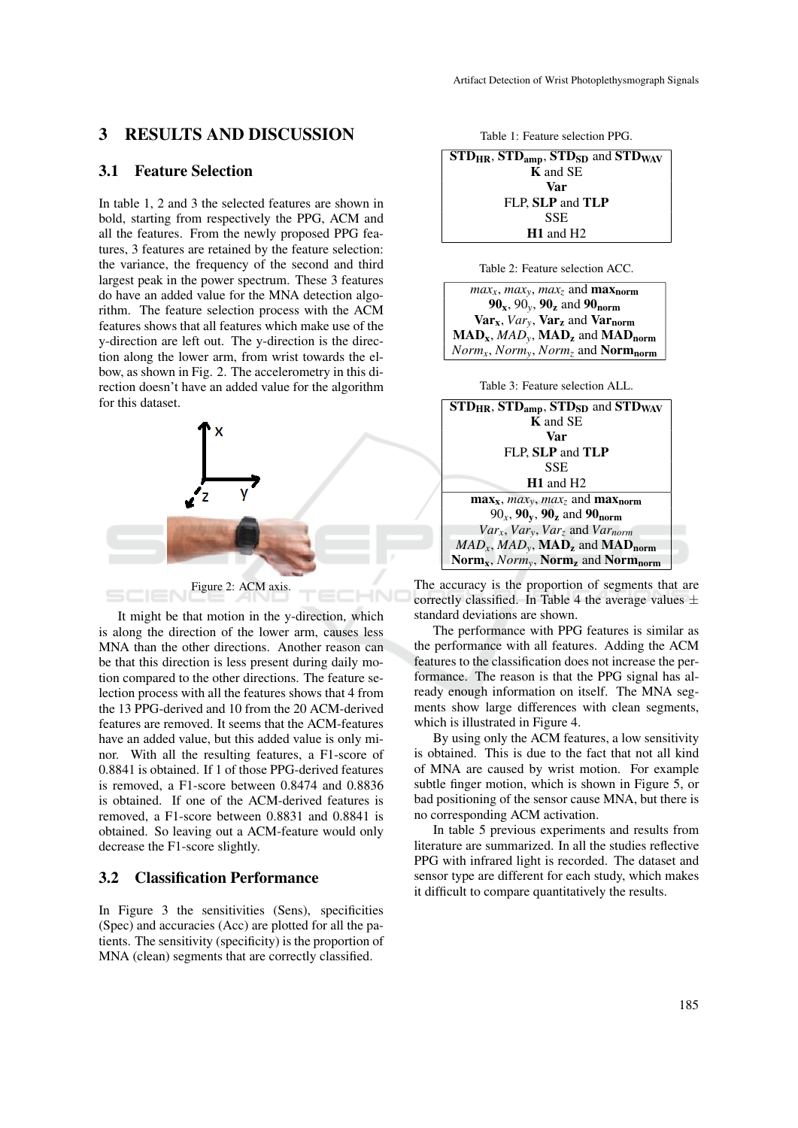### 3 RESULTS AND DISCUSSION

#### 3.1 Feature Selection

In table 1, 2 and 3 the selected features are shown in bold, starting from respectively the PPG, ACM and all the features. From the newly proposed PPG features, 3 features are retained by the feature selection: the variance, the frequency of the second and third largest peak in the power spectrum. These 3 features do have an added value for the MNA detection algorithm. The feature selection process with the ACM features shows that all features which make use of the y-direction are left out. The y-direction is the direction along the lower arm, from wrist towards the elbow, as shown in Fig. 2. The accelerometry in this direction doesn't have an added value for the algorithm for this dataset.



It might be that motion in the y-direction, which is along the direction of the lower arm, causes less MNA than the other directions. Another reason can be that this direction is less present during daily motion compared to the other directions. The feature selection process with all the features shows that 4 from the 13 PPG-derived and 10 from the 20 ACM-derived features are removed. It seems that the ACM-features have an added value, but this added value is only minor. With all the resulting features, a F1-score of 0.8841 is obtained. If 1 of those PPG-derived features is removed, a F1-score between 0.8474 and 0.8836 is obtained. If one of the ACM-derived features is removed, a F1-score between 0.8831 and 0.8841 is obtained. So leaving out a ACM-feature would only decrease the F1-score slightly.

### 3.2 Classification Performance

In Figure 3 the sensitivities (Sens), specificities (Spec) and accuracies (Acc) are plotted for all the patients. The sensitivity (specificity) is the proportion of MNA (clean) segments that are correctly classified.

Table 1: Feature selection PPG.

 $STD_{HR}$ ,  $STD_{amp}$ ,  $STD_{SD}$  and  $STD_{WAV}$ K and SE Var FLP, SLP and TLP SSE H1 and H2

Table 2: Feature selection ACC.

 $max_x$ ,  $max_y$ ,  $max_z$  and  $max_{norm}$ 90x, 90*y*, 90<sup>z</sup> and 90norm Varx, *Vary*, Var<sup>z</sup> and Varnorm  $\textbf{MAD}_x$ ,  $\textbf{MAD}_y$ ,  $\textbf{MAD}_z$  and  $\textbf{MAD}_{norm}$ *Normx*, *Normy*, *Norm<sup>z</sup>* and Normnorm

Table 3: Feature selection ALL.

| $STD_{HR}$ , $STD_{amp}$ , $STD_{SD}$ and $STD_{WAV}$                                                                    |  |  |  |
|--------------------------------------------------------------------------------------------------------------------------|--|--|--|
| <b>K</b> and SE                                                                                                          |  |  |  |
| Var                                                                                                                      |  |  |  |
| FLP, SLP and TLP                                                                                                         |  |  |  |
| SSE                                                                                                                      |  |  |  |
| $H1$ and $H2$                                                                                                            |  |  |  |
| $\max_{x}$ , $max_{y}$ , $max_{z}$ and $\max_{norm}$                                                                     |  |  |  |
| $90_x$ , $90_y$ , $90_z$ and $90_{norm}$                                                                                 |  |  |  |
| $Var_x$ , $Var_y$ , $Var_z$ and $Var_{norm}$                                                                             |  |  |  |
| $MAD_x$ , $MAD_y$ , $\textbf{MAD}_z$ and $\textbf{MAD}_{norm}$                                                           |  |  |  |
| $\mathbf{Norm}_{\mathbf{x}}, \mathbf{Norm}_{\mathbf{y}}, \mathbf{Norm}_{\mathbf{z}}$ and $\mathbf{Norm}_{\mathbf{norm}}$ |  |  |  |

The accuracy is the proportion of segments that are correctly classified. In Table 4 the average values  $\pm$ standard deviations are shown.

The performance with PPG features is similar as the performance with all features. Adding the ACM features to the classification does not increase the performance. The reason is that the PPG signal has already enough information on itself. The MNA segments show large differences with clean segments, which is illustrated in Figure 4.

By using only the ACM features, a low sensitivity is obtained. This is due to the fact that not all kind of MNA are caused by wrist motion. For example subtle finger motion, which is shown in Figure 5, or bad positioning of the sensor cause MNA, but there is no corresponding ACM activation.

In table 5 previous experiments and results from literature are summarized. In all the studies reflective PPG with infrared light is recorded. The dataset and sensor type are different for each study, which makes it difficult to compare quantitatively the results.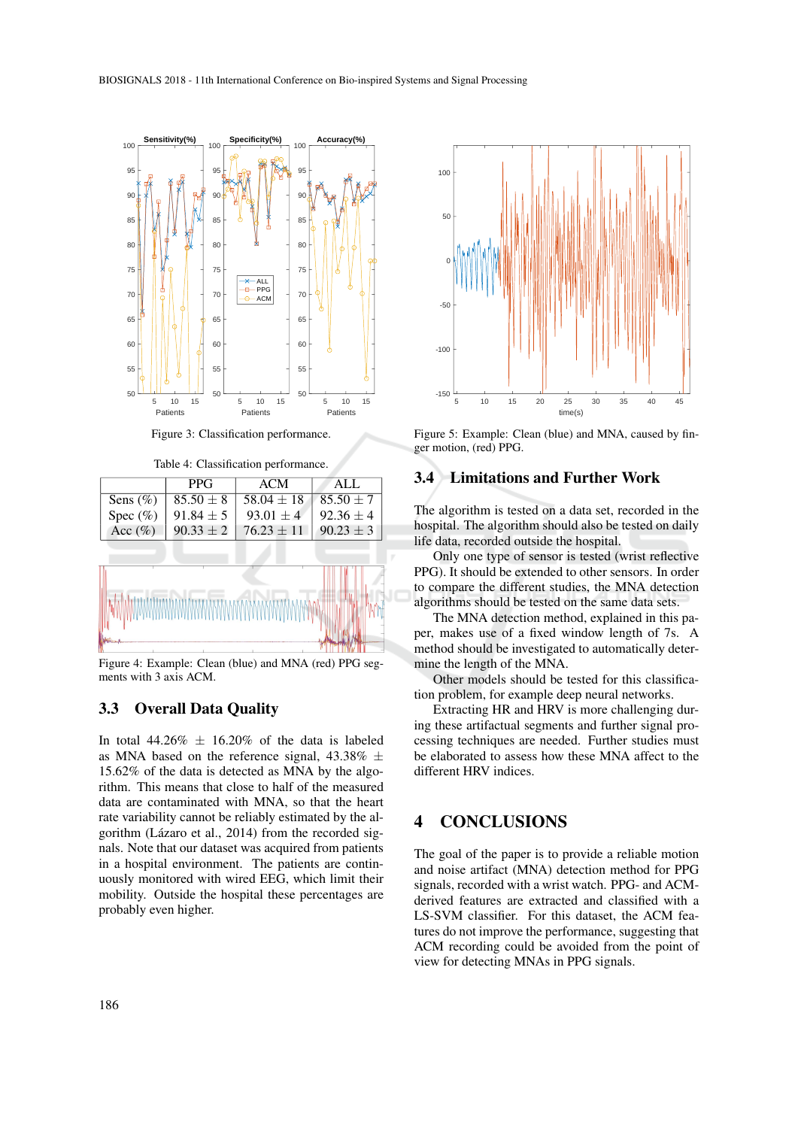

Figure 3: Classification performance.

Table 4: Classification performance.



Figure 4: Example: Clean (blue) and MNA (red) PPG segments with 3 axis ACM.

#### 3.3 Overall Data Quality

In total  $44.26\% \pm 16.20\%$  of the data is labeled as MNA based on the reference signal,  $43.38\% \pm$ 15.62% of the data is detected as MNA by the algorithm. This means that close to half of the measured data are contaminated with MNA, so that the heart rate variability cannot be reliably estimated by the algorithm (Lázaro et al., 2014) from the recorded signals. Note that our dataset was acquired from patients in a hospital environment. The patients are continuously monitored with wired EEG, which limit their mobility. Outside the hospital these percentages are probably even higher.



Figure 5: Example: Clean (blue) and MNA, caused by finger motion, (red) PPG.

### 3.4 Limitations and Further Work

The algorithm is tested on a data set, recorded in the hospital. The algorithm should also be tested on daily life data, recorded outside the hospital.

Only one type of sensor is tested (wrist reflective PPG). It should be extended to other sensors. In order to compare the different studies, the MNA detection algorithms should be tested on the same data sets.

The MNA detection method, explained in this paper, makes use of a fixed window length of 7s. A method should be investigated to automatically determine the length of the MNA.

Other models should be tested for this classification problem, for example deep neural networks.

Extracting HR and HRV is more challenging during these artifactual segments and further signal processing techniques are needed. Further studies must be elaborated to assess how these MNA affect to the different HRV indices.

# 4 CONCLUSIONS

The goal of the paper is to provide a reliable motion and noise artifact (MNA) detection method for PPG signals, recorded with a wrist watch. PPG- and ACMderived features are extracted and classified with a LS-SVM classifier. For this dataset, the ACM features do not improve the performance, suggesting that ACM recording could be avoided from the point of view for detecting MNAs in PPG signals.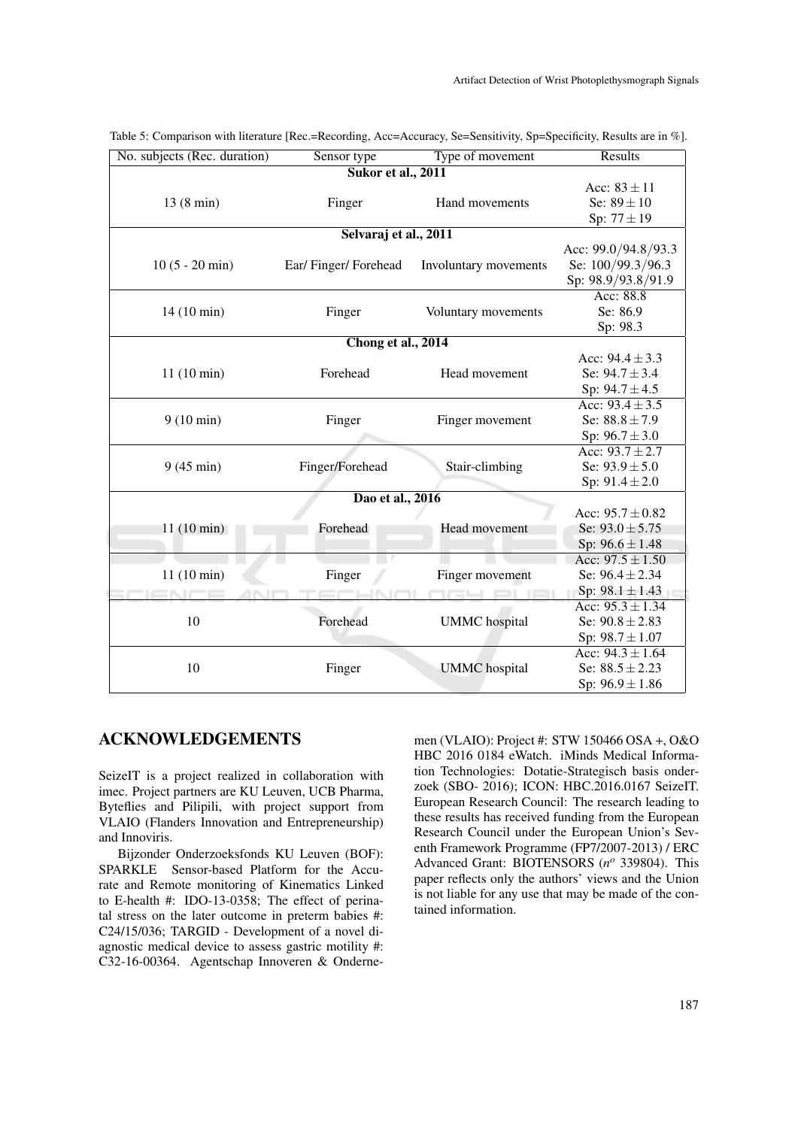| No. subjects (Rec. duration) | Sensor type         | Type of movement      | Results              |  |
|------------------------------|---------------------|-----------------------|----------------------|--|
| Sukor et al., 2011           |                     |                       |                      |  |
|                              |                     |                       | Acc: $83 \pm 11$     |  |
| 13(8 min)                    | Finger              | Hand movements        | Se: $89 \pm 10$      |  |
|                              |                     |                       | Sp: $77 \pm 19$      |  |
| Selvaraj et al., 2011        |                     |                       |                      |  |
|                              |                     |                       | Acc: 99.0/94.8/93.3  |  |
| $10(5 - 20 \text{ min})$     | Ear/Finger/Forehead | Involuntary movements | Se: 100/99.3/96.3    |  |
|                              |                     |                       | Sp: 98.9/93.8/91.9   |  |
|                              |                     |                       | Acc: 88.8            |  |
| 14 (10 min)                  | Finger              | Voluntary movements   | Se: 86.9             |  |
|                              |                     |                       | Sp: 98.3             |  |
| Chong et al., 2014           |                     |                       |                      |  |
|                              |                     |                       | Acc: $94.4 \pm 3.3$  |  |
| 11(10 min)                   | Forehead            | Head movement         | Se: $94.7 \pm 3.4$   |  |
|                              |                     |                       | Sp: $94.7 \pm 4.5$   |  |
|                              |                     |                       | Acc: $93.4 \pm 3.5$  |  |
| $9(10 \text{ min})$          | Finger              | Finger movement       | Se: $88.8 \pm 7.9$   |  |
|                              |                     |                       | Sp: $96.7 \pm 3.0$   |  |
|                              |                     |                       | Acc: $93.7 \pm 2.7$  |  |
| $9(45 \text{ min})$          | Finger/Forehead     | Stair-climbing        | Se: $93.9 \pm 5.0$   |  |
|                              |                     |                       | Sp: $91.4 \pm 2.0$   |  |
| Dao et al., 2016             |                     |                       |                      |  |
|                              |                     |                       | Acc: $95.7 \pm 0.82$ |  |
| 11(10 min)                   | Forehead            | Head movement         | Se: $93.0 \pm 5.75$  |  |
|                              |                     |                       | Sp: $96.6 \pm 1.48$  |  |
|                              |                     |                       | Acc: $97.5 \pm 1.50$ |  |
| 11(10 min)                   | Finger              | Finger movement       | Se: $96.4 \pm 2.34$  |  |
|                              |                     |                       | Sp: $98.1 \pm 1.43$  |  |
|                              |                     |                       | Acc: $95.3 \pm 1.34$ |  |
| 10                           | Forehead            | <b>UMMC</b> hospital  | Se: $90.8 \pm 2.83$  |  |
|                              |                     |                       | Sp: $98.7 \pm 1.07$  |  |
|                              |                     |                       | Acc: $94.3 \pm 1.64$ |  |
| 10                           | Finger              | <b>UMMC</b> hospital  | Se: $88.5 \pm 2.23$  |  |
|                              |                     |                       | Sp: $96.9 \pm 1.86$  |  |
|                              |                     |                       |                      |  |

Table 5: Comparison with literature [Rec.=Recording, Acc=Accuracy, Se=Sensitivity, Sp=Specificity, Results are in %].

### ACKNOWLEDGEMENTS

SeizeIT is a project realized in collaboration with imec. Project partners are KU Leuven, UCB Pharma, Byteflies and Pilipili, with project support from VLAIO (Flanders Innovation and Entrepreneurship) and Innoviris.

Bijzonder Onderzoeksfonds KU Leuven (BOF): SPARKLE Sensor-based Platform for the Accurate and Remote monitoring of Kinematics Linked to E-health #: IDO-13-0358; The effect of perinatal stress on the later outcome in preterm babies #: C24/15/036; TARGID - Development of a novel diagnostic medical device to assess gastric motility #: C32-16-00364. Agentschap Innoveren & Ondernemen (VLAIO): Project #: STW 150466 OSA +, O&O HBC 2016 0184 eWatch. iMinds Medical Information Technologies: Dotatie-Strategisch basis onderzoek (SBO- 2016); ICON: HBC.2016.0167 SeizeIT. European Research Council: The research leading to these results has received funding from the European Research Council under the European Union's Seventh Framework Programme (FP7/2007-2013) / ERC Advanced Grant: BIOTENSORS (*n <sup>o</sup>* 339804). This paper reflects only the authors' views and the Union is not liable for any use that may be made of the contained information.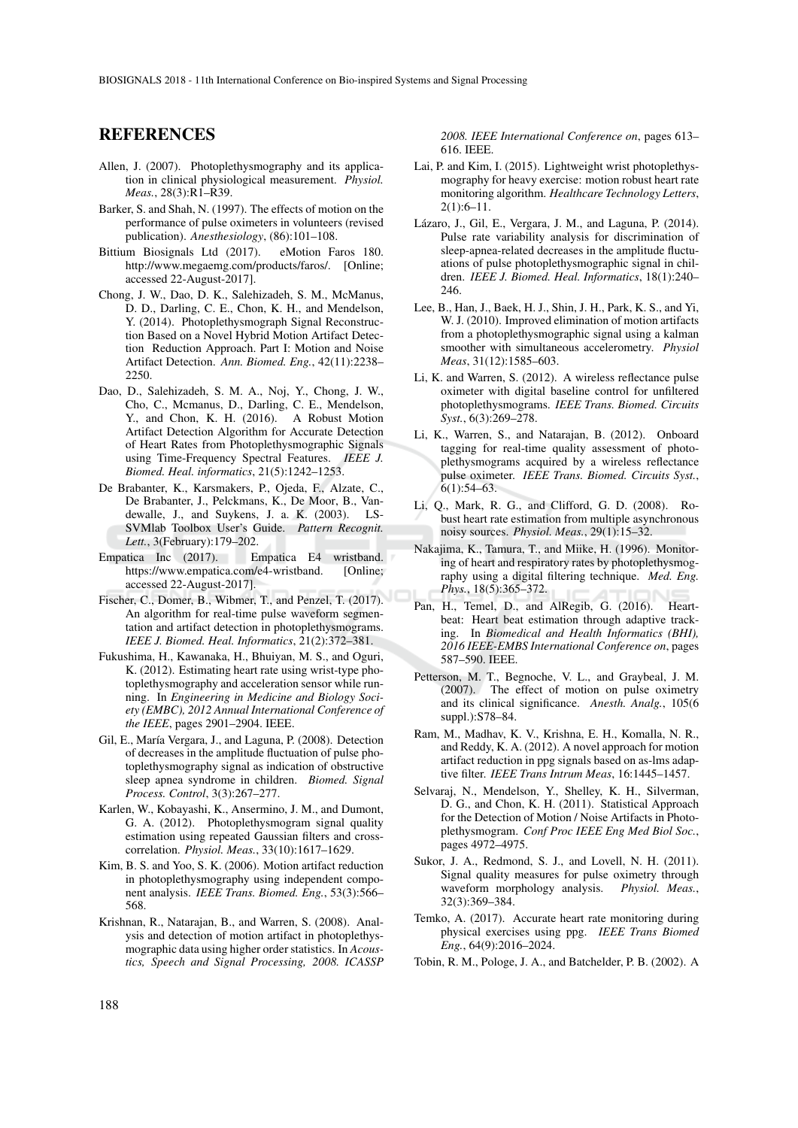#### REFERENCES

- Allen, J. (2007). Photoplethysmography and its application in clinical physiological measurement. *Physiol. Meas.*, 28(3):R1–R39.
- Barker, S. and Shah, N. (1997). The effects of motion on the performance of pulse oximeters in volunteers (revised publication). *Anesthesiology*, (86):101–108.
- Bittium Biosignals Ltd (2017). eMotion Faros 180. http://www.megaemg.com/products/faros/. [Online; accessed 22-August-2017].
- Chong, J. W., Dao, D. K., Salehizadeh, S. M., McManus, D. D., Darling, C. E., Chon, K. H., and Mendelson, Y. (2014). Photoplethysmograph Signal Reconstruction Based on a Novel Hybrid Motion Artifact Detection Reduction Approach. Part I: Motion and Noise Artifact Detection. *Ann. Biomed. Eng.*, 42(11):2238– 2250.
- Dao, D., Salehizadeh, S. M. A., Noj, Y., Chong, J. W., Cho, C., Mcmanus, D., Darling, C. E., Mendelson, Y., and Chon, K. H. (2016). A Robust Motion Artifact Detection Algorithm for Accurate Detection of Heart Rates from Photoplethysmographic Signals using Time-Frequency Spectral Features. *IEEE J. Biomed. Heal. informatics*, 21(5):1242–1253.
- De Brabanter, K., Karsmakers, P., Ojeda, F., Alzate, C., De Brabanter, J., Pelckmans, K., De Moor, B., Vandewalle, J., and Suykens, J. a. K. (2003). LS-SVMlab Toolbox User's Guide. *Pattern Recognit. Lett.*, 3(February):179–202.
- Empatica Inc (2017). Empatica E4 wristband. https://www.empatica.com/e4-wristband. [Online; accessed 22-August-2017].
- Fischer, C., Domer, B., Wibmer, T., and Penzel, T. (2017). An algorithm for real-time pulse waveform segmentation and artifact detection in photoplethysmograms. *IEEE J. Biomed. Heal. Informatics*, 21(2):372–381.
- Fukushima, H., Kawanaka, H., Bhuiyan, M. S., and Oguri, K. (2012). Estimating heart rate using wrist-type photoplethysmography and acceleration sensor while running. In *Engineering in Medicine and Biology Society (EMBC), 2012 Annual International Conference of the IEEE*, pages 2901–2904. IEEE.
- Gil, E., María Vergara, J., and Laguna, P. (2008). Detection of decreases in the amplitude fluctuation of pulse photoplethysmography signal as indication of obstructive sleep apnea syndrome in children. *Biomed. Signal Process. Control*, 3(3):267–277.
- Karlen, W., Kobayashi, K., Ansermino, J. M., and Dumont, G. A. (2012). Photoplethysmogram signal quality estimation using repeated Gaussian filters and crosscorrelation. *Physiol. Meas.*, 33(10):1617–1629.
- Kim, B. S. and Yoo, S. K. (2006). Motion artifact reduction in photoplethysmography using independent component analysis. *IEEE Trans. Biomed. Eng.*, 53(3):566– 568.
- Krishnan, R., Natarajan, B., and Warren, S. (2008). Analysis and detection of motion artifact in photoplethysmographic data using higher order statistics. In *Acoustics, Speech and Signal Processing, 2008. ICASSP*

*2008. IEEE International Conference on*, pages 613– 616. IEEE.

- Lai, P. and Kim, I. (2015). Lightweight wrist photoplethysmography for heavy exercise: motion robust heart rate monitoring algorithm. *Healthcare Technology Letters*, 2(1):6–11.
- Lázaro, J., Gil, E., Vergara, J. M., and Laguna, P. (2014). Pulse rate variability analysis for discrimination of sleep-apnea-related decreases in the amplitude fluctuations of pulse photoplethysmographic signal in children. *IEEE J. Biomed. Heal. Informatics*, 18(1):240– 246.
- Lee, B., Han, J., Baek, H. J., Shin, J. H., Park, K. S., and Yi, W. J. (2010). Improved elimination of motion artifacts from a photoplethysmographic signal using a kalman smoother with simultaneous accelerometry. *Physiol Meas*, 31(12):1585–603.
- Li, K. and Warren, S. (2012). A wireless reflectance pulse oximeter with digital baseline control for unfiltered photoplethysmograms. *IEEE Trans. Biomed. Circuits Syst.*, 6(3):269–278.
- Li, K., Warren, S., and Natarajan, B. (2012). Onboard tagging for real-time quality assessment of photoplethysmograms acquired by a wireless reflectance pulse oximeter. *IEEE Trans. Biomed. Circuits Syst.*, 6(1):54–63.
- Li, Q., Mark, R. G., and Clifford, G. D. (2008). Robust heart rate estimation from multiple asynchronous noisy sources. *Physiol. Meas.*, 29(1):15–32.
- Nakajima, K., Tamura, T., and Miike, H. (1996). Monitoring of heart and respiratory rates by photoplethysmography using a digital filtering technique. *Med. Eng. Phys.*, 18(5):365–372.
- Pan, H., Temel, D., and AlRegib, G. (2016). Heartbeat: Heart beat estimation through adaptive tracking. In *Biomedical and Health Informatics (BHI), 2016 IEEE-EMBS International Conference on*, pages 587–590. IEEE.
- Petterson, M. T., Begnoche, V. L., and Graybeal, J. M. (2007). The effect of motion on pulse oximetry and its clinical significance. *Anesth. Analg.*, 105(6 suppl.):S78–84.
- Ram, M., Madhav, K. V., Krishna, E. H., Komalla, N. R., and Reddy, K. A. (2012). A novel approach for motion artifact reduction in ppg signals based on as-lms adaptive filter. *IEEE Trans Intrum Meas*, 16:1445–1457.
- Selvaraj, N., Mendelson, Y., Shelley, K. H., Silverman, D. G., and Chon, K. H. (2011). Statistical Approach for the Detection of Motion / Noise Artifacts in Photoplethysmogram. *Conf Proc IEEE Eng Med Biol Soc.*, pages 4972–4975.
- Sukor, J. A., Redmond, S. J., and Lovell, N. H. (2011). Signal quality measures for pulse oximetry through waveform morphology analysis. *Physiol. Meas.*, 32(3):369–384.
- Temko, A. (2017). Accurate heart rate monitoring during physical exercises using ppg. *IEEE Trans Biomed Eng.*, 64(9):2016–2024.
- Tobin, R. M., Pologe, J. A., and Batchelder, P. B. (2002). A